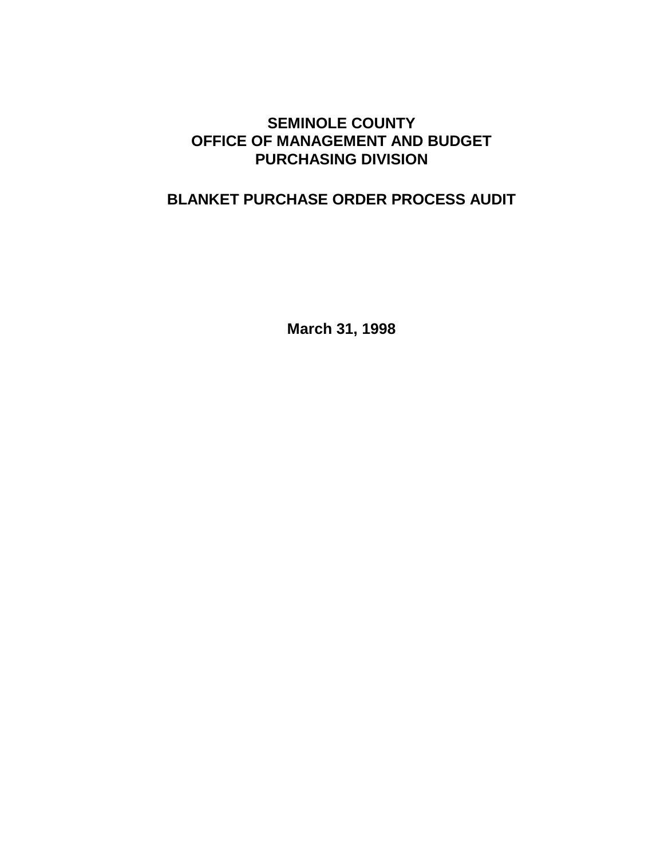# **SEMINOLE COUNTY OFFICE OF MANAGEMENT AND BUDGET PURCHASING DIVISION**

# **BLANKET PURCHASE ORDER PROCESS AUDIT**

**March 31, 1998**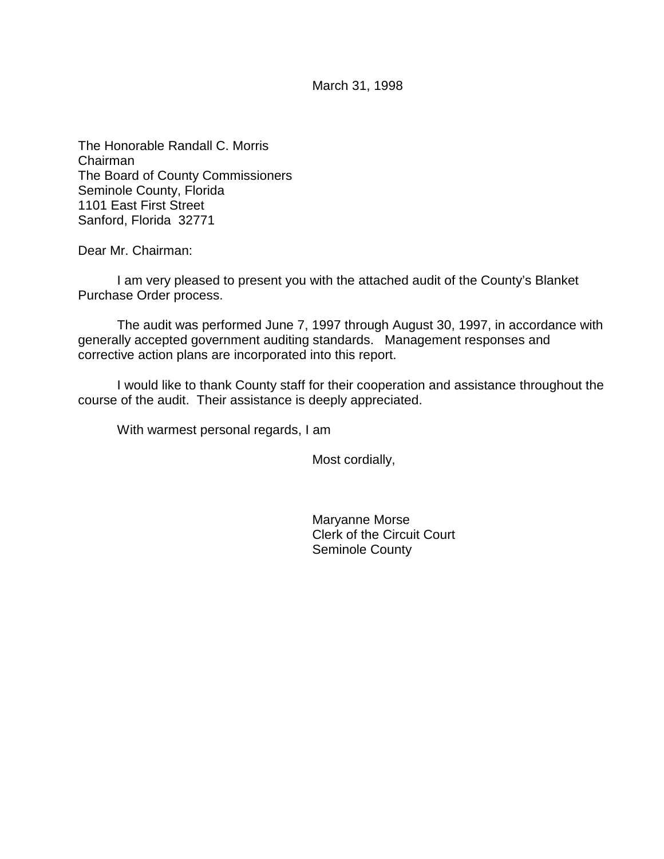March 31, 1998

The Honorable Randall C. Morris Chairman The Board of County Commissioners Seminole County, Florida 1101 East First Street Sanford, Florida 32771

Dear Mr. Chairman:

I am very pleased to present you with the attached audit of the County's Blanket Purchase Order process.

The audit was performed June 7, 1997 through August 30, 1997, in accordance with generally accepted government auditing standards. Management responses and corrective action plans are incorporated into this report.

I would like to thank County staff for their cooperation and assistance throughout the course of the audit. Their assistance is deeply appreciated.

With warmest personal regards, I am

Most cordially,

Maryanne Morse Clerk of the Circuit Court Seminole County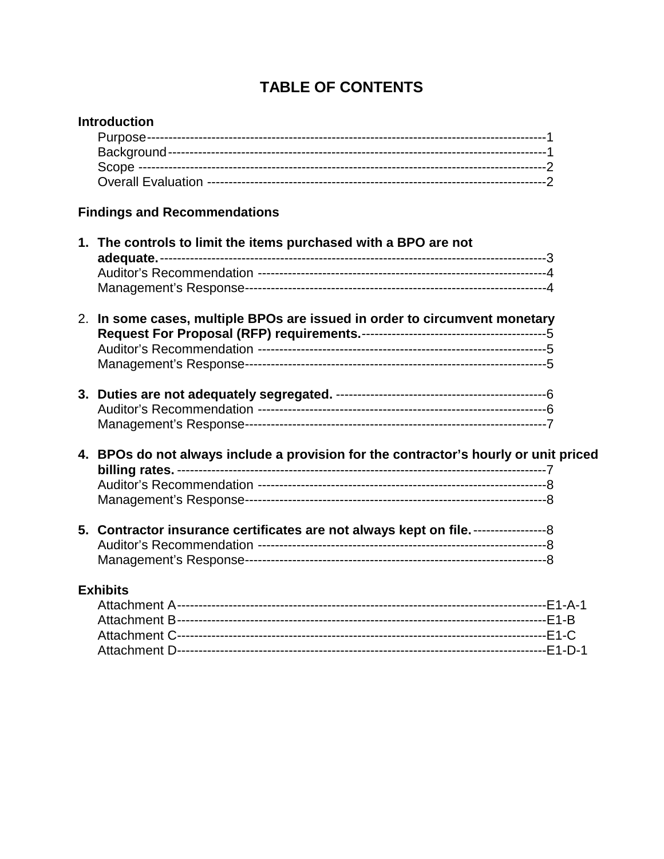# **TABLE OF CONTENTS**

|                                     | <b>Introduction</b>                                                                                  |
|-------------------------------------|------------------------------------------------------------------------------------------------------|
| <b>Findings and Recommendations</b> |                                                                                                      |
|                                     | 1. The controls to limit the items purchased with a BPO are not                                      |
|                                     | 2. In some cases, multiple BPOs are issued in order to circumvent monetary                           |
|                                     |                                                                                                      |
|                                     | 4. BPOs do not always include a provision for the contractor's hourly or unit priced                 |
|                                     | 5. Contractor insurance certificates are not always kept on file. ---------------------------------- |
| <b>Exhibits</b>                     |                                                                                                      |
|                                     |                                                                                                      |
|                                     |                                                                                                      |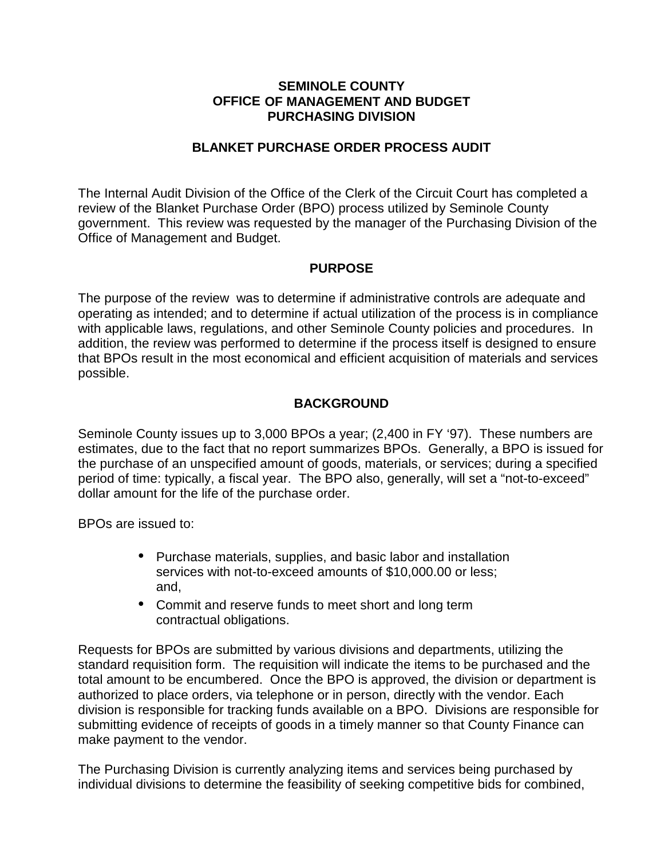#### **SEMINOLE COUNTY OFFICE OF MANAGEMENT AND BUDGET PURCHASING DIVISION**

### **BLANKET PURCHASE ORDER PROCESS AUDIT**

The Internal Audit Division of the Office of the Clerk of the Circuit Court has completed a review of the Blanket Purchase Order (BPO) process utilized by Seminole County government. This review was requested by the manager of the Purchasing Division of the Office of Management and Budget.

# **PURPOSE**

The purpose of the review was to determine if administrative controls are adequate and operating as intended; and to determine if actual utilization of the process is in compliance with applicable laws, regulations, and other Seminole County policies and procedures. In addition, the review was performed to determine if the process itself is designed to ensure that BPOs result in the most economical and efficient acquisition of materials and services possible.

# **BACKGROUND**

Seminole County issues up to 3,000 BPOs a year; (2,400 in FY '97). These numbers are estimates, due to the fact that no report summarizes BPOs. Generally, a BPO is issued for the purchase of an unspecified amount of goods, materials, or services; during a specified period of time: typically, a fiscal year. The BPO also, generally, will set a "not-to-exceed" dollar amount for the life of the purchase order.

BPOs are issued to:

- Purchase materials, supplies, and basic labor and installation services with not-to-exceed amounts of \$10,000.00 or less; and,
- Commit and reserve funds to meet short and long term contractual obligations.

Requests for BPOs are submitted by various divisions and departments, utilizing the standard requisition form. The requisition will indicate the items to be purchased and the total amount to be encumbered. Once the BPO is approved, the division or department is authorized to place orders, via telephone or in person, directly with the vendor. Each division is responsible for tracking funds available on a BPO. Divisions are responsible for submitting evidence of receipts of goods in a timely manner so that County Finance can make payment to the vendor.

The Purchasing Division is currently analyzing items and services being purchased by individual divisions to determine the feasibility of seeking competitive bids for combined,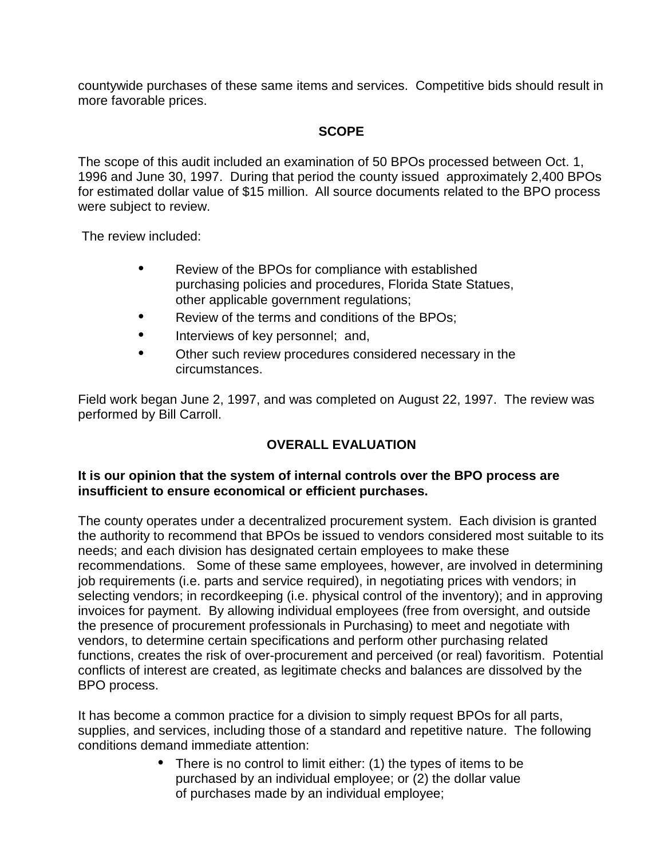countywide purchases of these same items and services. Competitive bids should result in more favorable prices.

# **SCOPE**

The scope of this audit included an examination of 50 BPOs processed between Oct. 1, 1996 and June 30, 1997. During that period the county issued approximately 2,400 BPOs for estimated dollar value of \$15 million. All source documents related to the BPO process were subject to review.

The review included:

- Review of the BPOs for compliance with established purchasing policies and procedures, Florida State Statues, other applicable government regulations;
- Review of the terms and conditions of the BPOs:
- Interviews of key personnel; and,
- Other such review procedures considered necessary in the circumstances.

Field work began June 2, 1997, and was completed on August 22, 1997. The review was performed by Bill Carroll.

# **OVERALL EVALUATION**

#### **It is our opinion that the system of internal controls over the BPO process are insufficient to ensure economical or efficient purchases.**

The county operates under a decentralized procurement system. Each division is granted the authority to recommend that BPOs be issued to vendors considered most suitable to its needs; and each division has designated certain employees to make these recommendations. Some of these same employees, however, are involved in determining job requirements (i.e. parts and service required), in negotiating prices with vendors; in selecting vendors; in recordkeeping (i.e. physical control of the inventory); and in approving invoices for payment. By allowing individual employees (free from oversight, and outside the presence of procurement professionals in Purchasing) to meet and negotiate with vendors, to determine certain specifications and perform other purchasing related functions, creates the risk of over-procurement and perceived (or real) favoritism. Potential conflicts of interest are created, as legitimate checks and balances are dissolved by the BPO process.

It has become a common practice for a division to simply request BPOs for all parts, supplies, and services, including those of a standard and repetitive nature. The following conditions demand immediate attention:

> • There is no control to limit either: (1) the types of items to be purchased by an individual employee; or (2) the dollar value of purchases made by an individual employee;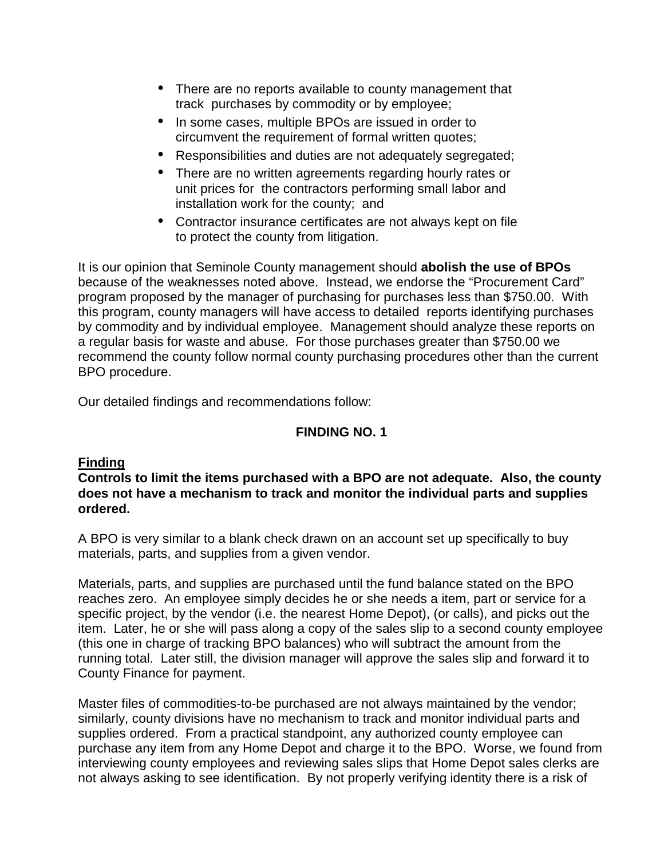- There are no reports available to county management that track purchases by commodity or by employee;
- In some cases, multiple BPOs are issued in order to circumvent the requirement of formal written quotes;
- Responsibilities and duties are not adequately segregated;
- There are no written agreements regarding hourly rates or unit prices for the contractors performing small labor and installation work for the county; and
- Contractor insurance certificates are not always kept on file to protect the county from litigation.

It is our opinion that Seminole County management should **abolish the use of BPOs** because of the weaknesses noted above. Instead, we endorse the "Procurement Card" program proposed by the manager of purchasing for purchases less than \$750.00. With this program, county managers will have access to detailed reports identifying purchases by commodity and by individual employee. Management should analyze these reports on a regular basis for waste and abuse. For those purchases greater than \$750.00 we recommend the county follow normal county purchasing procedures other than the current BPO procedure.

Our detailed findings and recommendations follow:

# **FINDING NO. 1**

# **Finding**

**Controls to limit the items purchased with a BPO are not adequate. Also, the county does not have a mechanism to track and monitor the individual parts and supplies ordered.**

A BPO is very similar to a blank check drawn on an account set up specifically to buy materials, parts, and supplies from a given vendor.

Materials, parts, and supplies are purchased until the fund balance stated on the BPO reaches zero. An employee simply decides he or she needs a item, part or service for a specific project, by the vendor (i.e. the nearest Home Depot), (or calls), and picks out the item. Later, he or she will pass along a copy of the sales slip to a second county employee (this one in charge of tracking BPO balances) who will subtract the amount from the running total. Later still, the division manager will approve the sales slip and forward it to County Finance for payment.

Master files of commodities-to-be purchased are not always maintained by the vendor; similarly, county divisions have no mechanism to track and monitor individual parts and supplies ordered. From a practical standpoint, any authorized county employee can purchase any item from any Home Depot and charge it to the BPO. Worse, we found from interviewing county employees and reviewing sales slips that Home Depot sales clerks are not always asking to see identification. By not properly verifying identity there is a risk of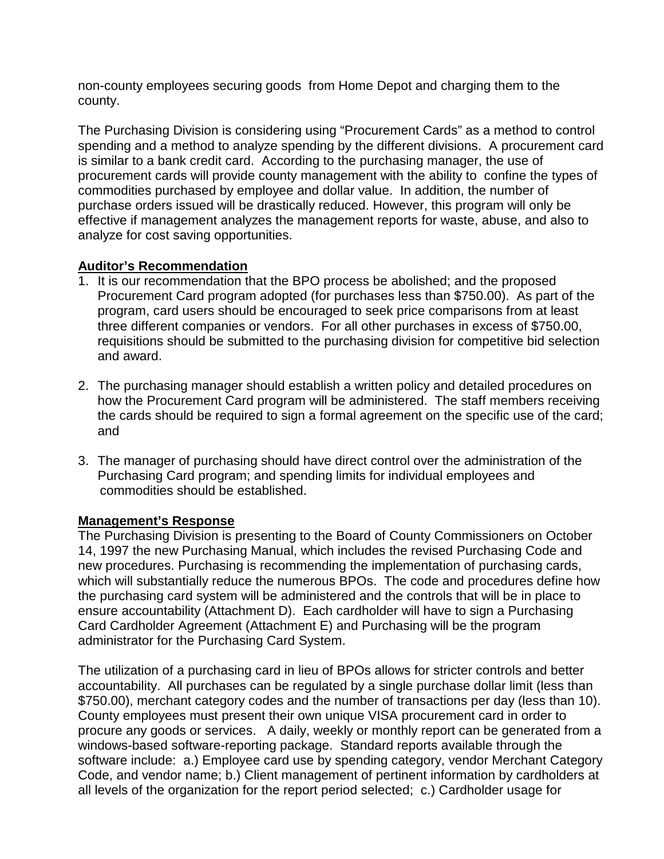non-county employees securing goods from Home Depot and charging them to the county.

The Purchasing Division is considering using "Procurement Cards" as a method to control spending and a method to analyze spending by the different divisions. A procurement card is similar to a bank credit card. According to the purchasing manager, the use of procurement cards will provide county management with the ability to confine the types of commodities purchased by employee and dollar value. In addition, the number of purchase orders issued will be drastically reduced. However, this program will only be effective if management analyzes the management reports for waste, abuse, and also to analyze for cost saving opportunities.

# **Auditor's Recommendation**

- 1. It is our recommendation that the BPO process be abolished; and the proposed Procurement Card program adopted (for purchases less than \$750.00). As part of the program, card users should be encouraged to seek price comparisons from at least three different companies or vendors. For all other purchases in excess of \$750.00, requisitions should be submitted to the purchasing division for competitive bid selection and award.
- 2. The purchasing manager should establish a written policy and detailed procedures on how the Procurement Card program will be administered. The staff members receiving the cards should be required to sign a formal agreement on the specific use of the card; and
- 3. The manager of purchasing should have direct control over the administration of the Purchasing Card program; and spending limits for individual employees and commodities should be established.

# **Management's Response**

The Purchasing Division is presenting to the Board of County Commissioners on October 14, 1997 the new Purchasing Manual, which includes the revised Purchasing Code and new procedures. Purchasing is recommending the implementation of purchasing cards, which will substantially reduce the numerous BPOs. The code and procedures define how the purchasing card system will be administered and the controls that will be in place to ensure accountability (Attachment D). Each cardholder will have to sign a Purchasing Card Cardholder Agreement (Attachment E) and Purchasing will be the program administrator for the Purchasing Card System.

The utilization of a purchasing card in lieu of BPOs allows for stricter controls and better accountability. All purchases can be regulated by a single purchase dollar limit (less than \$750.00), merchant category codes and the number of transactions per day (less than 10). County employees must present their own unique VISA procurement card in order to procure any goods or services. A daily, weekly or monthly report can be generated from a windows-based software-reporting package. Standard reports available through the software include: a.) Employee card use by spending category, vendor Merchant Category Code, and vendor name; b.) Client management of pertinent information by cardholders at all levels of the organization for the report period selected; c.) Cardholder usage for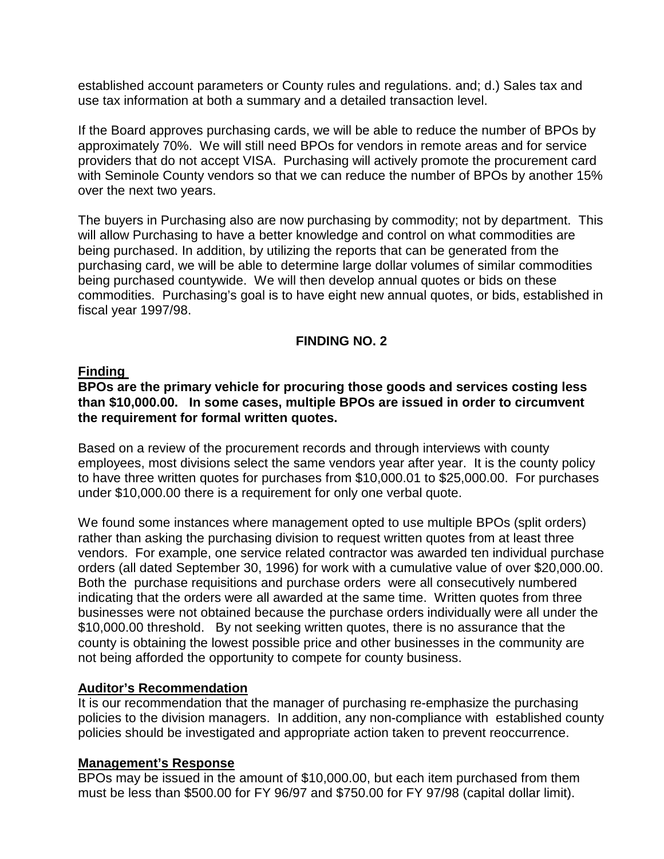established account parameters or County rules and regulations. and; d.) Sales tax and use tax information at both a summary and a detailed transaction level.

If the Board approves purchasing cards, we will be able to reduce the number of BPOs by approximately 70%. We will still need BPOs for vendors in remote areas and for service providers that do not accept VISA. Purchasing will actively promote the procurement card with Seminole County vendors so that we can reduce the number of BPOs by another 15% over the next two years.

The buyers in Purchasing also are now purchasing by commodity; not by department. This will allow Purchasing to have a better knowledge and control on what commodities are being purchased. In addition, by utilizing the reports that can be generated from the purchasing card, we will be able to determine large dollar volumes of similar commodities being purchased countywide. We will then develop annual quotes or bids on these commodities. Purchasing's goal is to have eight new annual quotes, or bids, established in fiscal year 1997/98.

# **FINDING NO. 2**

#### **Finding**

#### **BPOs are the primary vehicle for procuring those goods and services costing less than \$10,000.00. In some cases, multiple BPOs are issued in order to circumvent the requirement for formal written quotes.**

Based on a review of the procurement records and through interviews with county employees, most divisions select the same vendors year after year. It is the county policy to have three written quotes for purchases from \$10,000.01 to \$25,000.00. For purchases under \$10,000.00 there is a requirement for only one verbal quote.

We found some instances where management opted to use multiple BPOs (split orders) rather than asking the purchasing division to request written quotes from at least three vendors. For example, one service related contractor was awarded ten individual purchase orders (all dated September 30, 1996) for work with a cumulative value of over \$20,000.00. Both the purchase requisitions and purchase orders were all consecutively numbered indicating that the orders were all awarded at the same time. Written quotes from three businesses were not obtained because the purchase orders individually were all under the \$10,000.00 threshold. By not seeking written quotes, there is no assurance that the county is obtaining the lowest possible price and other businesses in the community are not being afforded the opportunity to compete for county business.

#### **Auditor's Recommendation**

It is our recommendation that the manager of purchasing re-emphasize the purchasing policies to the division managers. In addition, any non-compliance with established county policies should be investigated and appropriate action taken to prevent reoccurrence.

#### **Management's Response**

BPOs may be issued in the amount of \$10,000.00, but each item purchased from them must be less than \$500.00 for FY 96/97 and \$750.00 for FY 97/98 (capital dollar limit).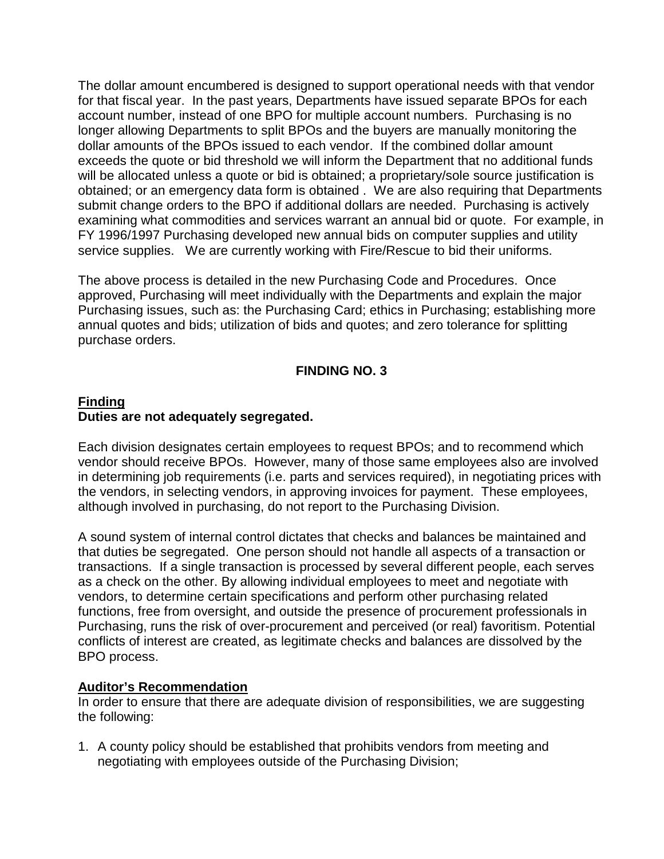The dollar amount encumbered is designed to support operational needs with that vendor for that fiscal year. In the past years, Departments have issued separate BPOs for each account number, instead of one BPO for multiple account numbers. Purchasing is no longer allowing Departments to split BPOs and the buyers are manually monitoring the dollar amounts of the BPOs issued to each vendor. If the combined dollar amount exceeds the quote or bid threshold we will inform the Department that no additional funds will be allocated unless a quote or bid is obtained; a proprietary/sole source justification is obtained; or an emergency data form is obtained . We are also requiring that Departments submit change orders to the BPO if additional dollars are needed. Purchasing is actively examining what commodities and services warrant an annual bid or quote. For example, in FY 1996/1997 Purchasing developed new annual bids on computer supplies and utility service supplies. We are currently working with Fire/Rescue to bid their uniforms.

The above process is detailed in the new Purchasing Code and Procedures. Once approved, Purchasing will meet individually with the Departments and explain the major Purchasing issues, such as: the Purchasing Card; ethics in Purchasing; establishing more annual quotes and bids; utilization of bids and quotes; and zero tolerance for splitting purchase orders.

# **FINDING NO. 3**

# **Finding Duties are not adequately segregated.**

Each division designates certain employees to request BPOs; and to recommend which vendor should receive BPOs. However, many of those same employees also are involved in determining job requirements (i.e. parts and services required), in negotiating prices with the vendors, in selecting vendors, in approving invoices for payment. These employees, although involved in purchasing, do not report to the Purchasing Division.

A sound system of internal control dictates that checks and balances be maintained and that duties be segregated. One person should not handle all aspects of a transaction or transactions. If a single transaction is processed by several different people, each serves as a check on the other. By allowing individual employees to meet and negotiate with vendors, to determine certain specifications and perform other purchasing related functions, free from oversight, and outside the presence of procurement professionals in Purchasing, runs the risk of over-procurement and perceived (or real) favoritism. Potential conflicts of interest are created, as legitimate checks and balances are dissolved by the BPO process.

#### **Auditor's Recommendation**

In order to ensure that there are adequate division of responsibilities, we are suggesting the following:

1. A county policy should be established that prohibits vendors from meeting and negotiating with employees outside of the Purchasing Division;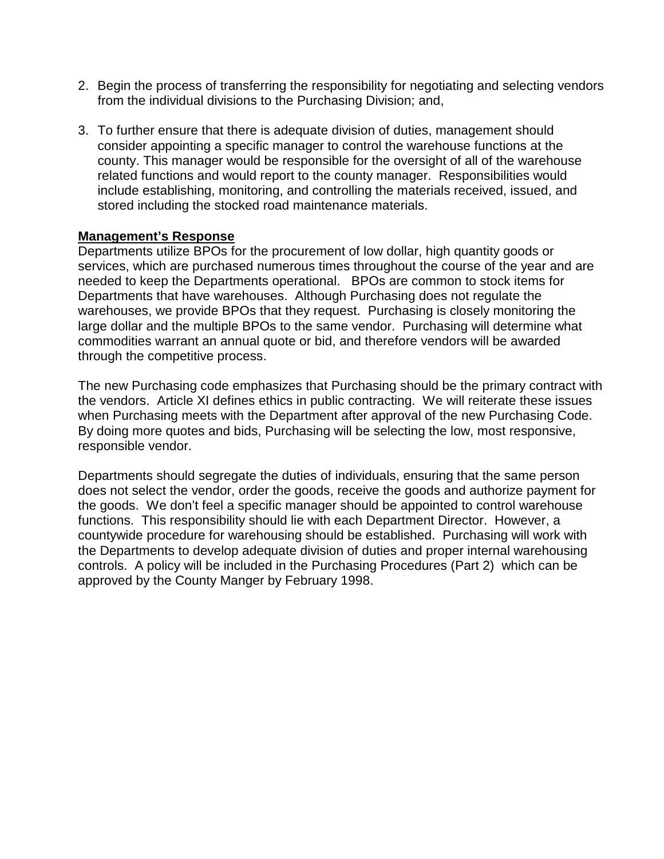- 2. Begin the process of transferring the responsibility for negotiating and selecting vendors from the individual divisions to the Purchasing Division; and,
- 3. To further ensure that there is adequate division of duties, management should consider appointing a specific manager to control the warehouse functions at the county. This manager would be responsible for the oversight of all of the warehouse related functions and would report to the county manager. Responsibilities would include establishing, monitoring, and controlling the materials received, issued, and stored including the stocked road maintenance materials.

#### **Management's Response**

Departments utilize BPOs for the procurement of low dollar, high quantity goods or services, which are purchased numerous times throughout the course of the year and are needed to keep the Departments operational. BPOs are common to stock items for Departments that have warehouses. Although Purchasing does not regulate the warehouses, we provide BPOs that they request. Purchasing is closely monitoring the large dollar and the multiple BPOs to the same vendor. Purchasing will determine what commodities warrant an annual quote or bid, and therefore vendors will be awarded through the competitive process.

The new Purchasing code emphasizes that Purchasing should be the primary contract with the vendors. Article XI defines ethics in public contracting. We will reiterate these issues when Purchasing meets with the Department after approval of the new Purchasing Code. By doing more quotes and bids, Purchasing will be selecting the low, most responsive, responsible vendor.

Departments should segregate the duties of individuals, ensuring that the same person does not select the vendor, order the goods, receive the goods and authorize payment for the goods. We don't feel a specific manager should be appointed to control warehouse functions. This responsibility should lie with each Department Director. However, a countywide procedure for warehousing should be established. Purchasing will work with the Departments to develop adequate division of duties and proper internal warehousing controls. A policy will be included in the Purchasing Procedures (Part 2) which can be approved by the County Manger by February 1998.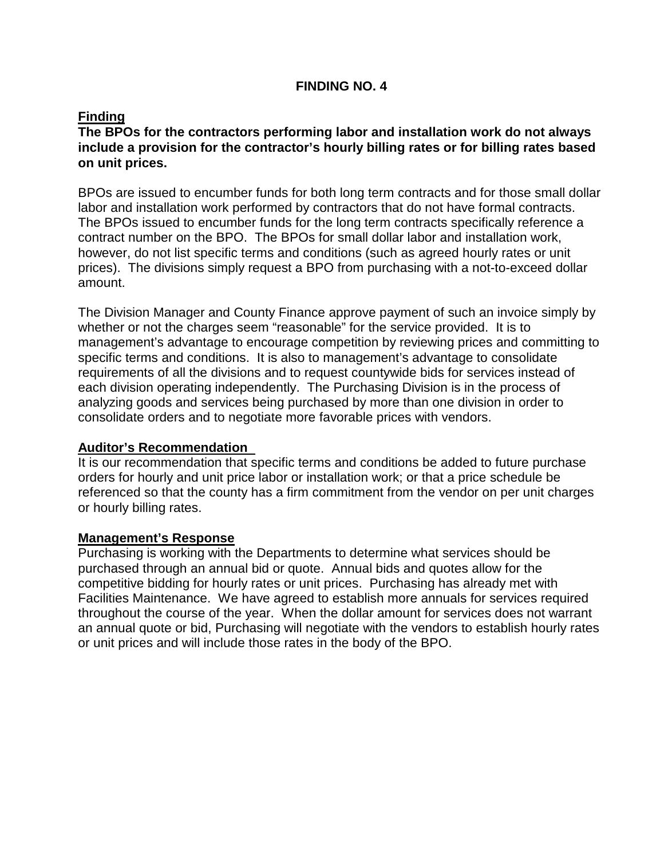# **FINDING NO. 4**

# **Finding**

# **The BPOs for the contractors performing labor and installation work do not always include a provision for the contractor's hourly billing rates or for billing rates based on unit prices.**

BPOs are issued to encumber funds for both long term contracts and for those small dollar labor and installation work performed by contractors that do not have formal contracts. The BPOs issued to encumber funds for the long term contracts specifically reference a contract number on the BPO. The BPOs for small dollar labor and installation work, however, do not list specific terms and conditions (such as agreed hourly rates or unit prices). The divisions simply request a BPO from purchasing with a not-to-exceed dollar amount.

The Division Manager and County Finance approve payment of such an invoice simply by whether or not the charges seem "reasonable" for the service provided. It is to management's advantage to encourage competition by reviewing prices and committing to specific terms and conditions. It is also to management's advantage to consolidate requirements of all the divisions and to request countywide bids for services instead of each division operating independently. The Purchasing Division is in the process of analyzing goods and services being purchased by more than one division in order to consolidate orders and to negotiate more favorable prices with vendors.

#### **Auditor's Recommendation**

It is our recommendation that specific terms and conditions be added to future purchase orders for hourly and unit price labor or installation work; or that a price schedule be referenced so that the county has a firm commitment from the vendor on per unit charges or hourly billing rates.

#### **Management's Response**

Purchasing is working with the Departments to determine what services should be purchased through an annual bid or quote. Annual bids and quotes allow for the competitive bidding for hourly rates or unit prices. Purchasing has already met with Facilities Maintenance. We have agreed to establish more annuals for services required throughout the course of the year. When the dollar amount for services does not warrant an annual quote or bid, Purchasing will negotiate with the vendors to establish hourly rates or unit prices and will include those rates in the body of the BPO.